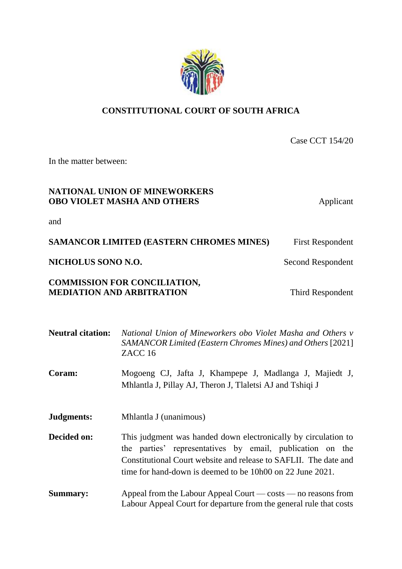# **CONSTITUTIONAL COURT OF SOUTH AFRICA**

Case CCT 154/20

In the matter between:

# **NATIONAL UNION OF MINEWORKERS OBO VIOLET MASHA AND OTHERS** Applicant

and

**SAMANCOR LIMITED (EASTERN CHROMES MINES)** First Respondent

## **NICHOLUS SONO N.O.** Second Respondent

## **COMMISSION FOR CONCILIATION, MEDIATION AND ARBITRATION** Third Respondent

| <b>Neutral citation:</b> | National Union of Mineworkers obo Violet Masha and Others v<br><b>SAMANCOR Limited (Eastern Chromes Mines) and Others [2021]</b><br>ZACC <sub>16</sub>                                                                                                       |
|--------------------------|--------------------------------------------------------------------------------------------------------------------------------------------------------------------------------------------------------------------------------------------------------------|
| Coram:                   | Mogoeng CJ, Jafta J, Khampepe J, Madlanga J, Majiedt J,<br>Mhlantla J, Pillay AJ, Theron J, Tlaletsi AJ and Tshiqi J                                                                                                                                         |
| Judgments:               | Mhlantla J (unanimous)                                                                                                                                                                                                                                       |
| Decided on:              | This judgment was handed down electronically by circulation to<br>the parties' representatives by email, publication on the<br>Constitutional Court website and release to SAFLII. The date and<br>time for hand-down is deemed to be 10h00 on 22 June 2021. |
| <b>Summary:</b>          | Appeal from the Labour Appeal Court — $costs$ — no reasons from<br>Labour Appeal Court for departure from the general rule that costs                                                                                                                        |

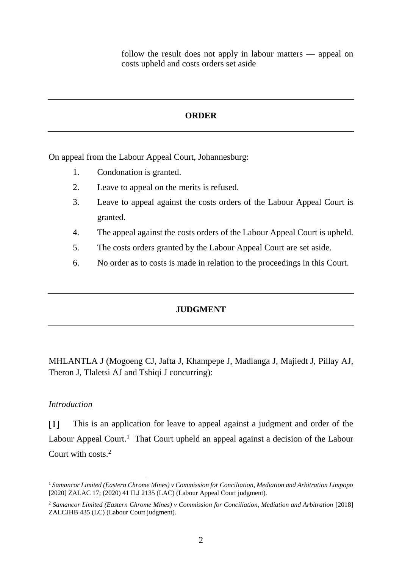follow the result does not apply in labour matters — appeal on costs upheld and costs orders set aside

### **ORDER**

On appeal from the Labour Appeal Court, Johannesburg:

- 1. Condonation is granted.
- 2. Leave to appeal on the merits is refused.
- 3. Leave to appeal against the costs orders of the Labour Appeal Court is granted.
- 4. The appeal against the costs orders of the Labour Appeal Court is upheld.
- 5. The costs orders granted by the Labour Appeal Court are set aside.
- 6. No order as to costs is made in relation to the proceedings in this Court.

### **JUDGMENT**

MHLANTLA J (Mogoeng CJ, Jafta J, Khampepe J, Madlanga J, Majiedt J, Pillay AJ, Theron J, Tlaletsi AJ and Tshiqi J concurring):

### *Introduction*

 $\overline{a}$ 

 $\lceil 1 \rceil$ This is an application for leave to appeal against a judgment and order of the Labour Appeal Court.<sup>1</sup> That Court upheld an appeal against a decision of the Labour Court with costs.<sup>2</sup>

<sup>1</sup> *Samancor Limited (Eastern Chrome Mines) v Commission for Conciliation, Mediation and Arbitration Limpopo* [2020] ZALAC 17; (2020) 41 ILJ 2135 (LAC) (Labour Appeal Court judgment).

<sup>&</sup>lt;sup>2</sup> Samancor Limited (Eastern Chrome Mines) v Commission for Conciliation, Mediation and Arbitration [2018] ZALCJHB 435 (LC) (Labour Court judgment).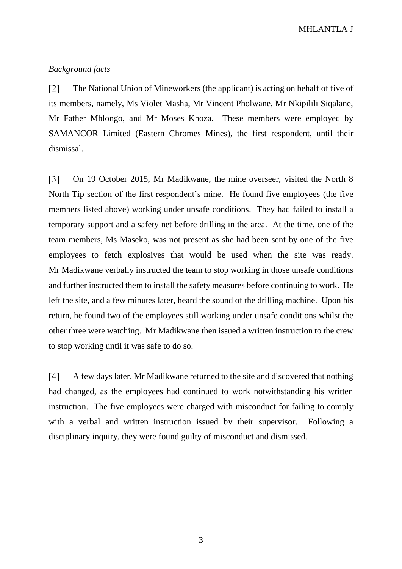MHLANTLA J

## *Background facts*

 $\lceil 2 \rceil$ The National Union of Mineworkers (the applicant) is acting on behalf of five of its members, namely, Ms Violet Masha, Mr Vincent Pholwane, Mr Nkipilili Siqalane, Mr Father Mhlongo, and Mr Moses Khoza. These members were employed by SAMANCOR Limited (Eastern Chromes Mines), the first respondent, until their dismissal.

On 19 October 2015, Mr Madikwane, the mine overseer, visited the North 8  $\lceil 3 \rceil$ North Tip section of the first respondent's mine. He found five employees (the five members listed above) working under unsafe conditions. They had failed to install a temporary support and a safety net before drilling in the area. At the time, one of the team members, Ms Maseko, was not present as she had been sent by one of the five employees to fetch explosives that would be used when the site was ready. Mr Madikwane verbally instructed the team to stop working in those unsafe conditions and further instructed them to install the safety measures before continuing to work. He left the site, and a few minutes later, heard the sound of the drilling machine. Upon his return, he found two of the employees still working under unsafe conditions whilst the other three were watching. Mr Madikwane then issued a written instruction to the crew to stop working until it was safe to do so.

 $\lceil 4 \rceil$ A few days later, Mr Madikwane returned to the site and discovered that nothing had changed, as the employees had continued to work notwithstanding his written instruction. The five employees were charged with misconduct for failing to comply with a verbal and written instruction issued by their supervisor. Following a disciplinary inquiry, they were found guilty of misconduct and dismissed.

3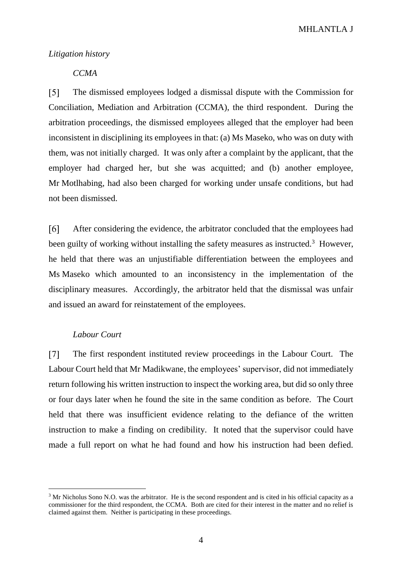MHLANTLA J

#### *Litigation history*

# *CCMA*

 $\sqrt{5}$ The dismissed employees lodged a dismissal dispute with the Commission for Conciliation, Mediation and Arbitration (CCMA), the third respondent. During the arbitration proceedings, the dismissed employees alleged that the employer had been inconsistent in disciplining its employees in that: (a) Ms Maseko, who was on duty with them, was not initially charged. It was only after a complaint by the applicant, that the employer had charged her, but she was acquitted; and (b) another employee, Mr Motlhabing, had also been charged for working under unsafe conditions, but had not been dismissed.

 $[6]$ After considering the evidence, the arbitrator concluded that the employees had been guilty of working without installing the safety measures as instructed.<sup>3</sup> However, he held that there was an unjustifiable differentiation between the employees and Ms Maseko which amounted to an inconsistency in the implementation of the disciplinary measures. Accordingly, the arbitrator held that the dismissal was unfair and issued an award for reinstatement of the employees.

### *Labour Court*

 $\overline{a}$ 

 $[7]$ The first respondent instituted review proceedings in the Labour Court. The Labour Court held that Mr Madikwane, the employees' supervisor, did not immediately return following his written instruction to inspect the working area, but did so only three or four days later when he found the site in the same condition as before. The Court held that there was insufficient evidence relating to the defiance of the written instruction to make a finding on credibility. It noted that the supervisor could have made a full report on what he had found and how his instruction had been defied.

<sup>&</sup>lt;sup>3</sup> Mr Nicholus Sono N.O. was the arbitrator. He is the second respondent and is cited in his official capacity as a commissioner for the third respondent, the CCMA. Both are cited for their interest in the matter and no relief is claimed against them. Neither is participating in these proceedings.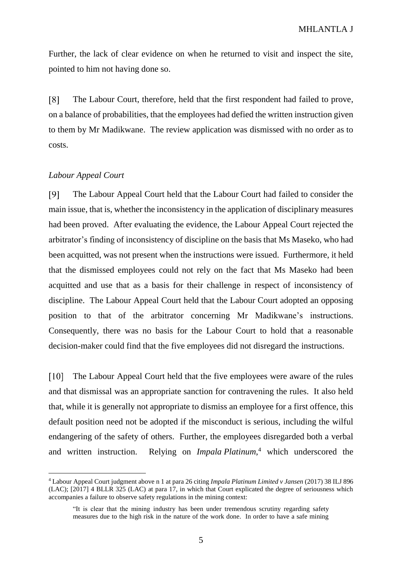Further, the lack of clear evidence on when he returned to visit and inspect the site, pointed to him not having done so.

[8] The Labour Court, therefore, held that the first respondent had failed to prove, on a balance of probabilities, that the employees had defied the written instruction given to them by Mr Madikwane. The review application was dismissed with no order as to costs.

### *Labour Appeal Court*

 $\overline{a}$ 

 $[9]$ The Labour Appeal Court held that the Labour Court had failed to consider the main issue, that is, whether the inconsistency in the application of disciplinary measures had been proved. After evaluating the evidence, the Labour Appeal Court rejected the arbitrator's finding of inconsistency of discipline on the basis that Ms Maseko, who had been acquitted, was not present when the instructions were issued. Furthermore, it held that the dismissed employees could not rely on the fact that Ms Maseko had been acquitted and use that as a basis for their challenge in respect of inconsistency of discipline. The Labour Appeal Court held that the Labour Court adopted an opposing position to that of the arbitrator concerning Mr Madikwane's instructions. Consequently, there was no basis for the Labour Court to hold that a reasonable decision-maker could find that the five employees did not disregard the instructions.

 $[10]$ The Labour Appeal Court held that the five employees were aware of the rules and that dismissal was an appropriate sanction for contravening the rules. It also held that, while it is generally not appropriate to dismiss an employee for a first offence, this default position need not be adopted if the misconduct is serious, including the wilful endangering of the safety of others. Further, the employees disregarded both a verbal and written instruction. Relying on *Impala Platinum*, <sup>4</sup> which underscored the

<sup>4</sup> Labour Appeal Court judgment above n 1 at para 26 citing *Impala Platinum Limited v Jansen* (2017) 38 ILJ 896 (LAC); [2017] 4 BLLR 325 (LAC) at para 17, in which that Court explicated the degree of seriousness which accompanies a failure to observe safety regulations in the mining context:

<sup>&</sup>quot;It is clear that the mining industry has been under tremendous scrutiny regarding safety measures due to the high risk in the nature of the work done. In order to have a safe mining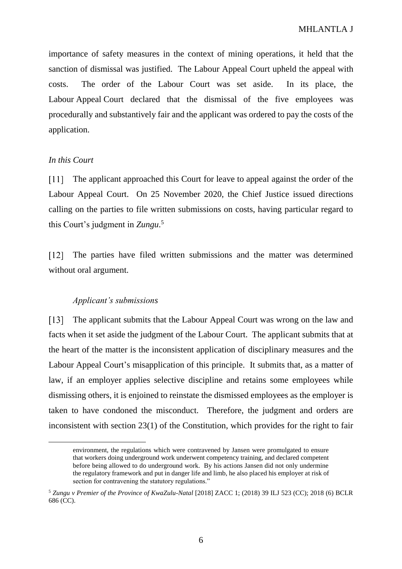importance of safety measures in the context of mining operations, it held that the sanction of dismissal was justified. The Labour Appeal Court upheld the appeal with costs. The order of the Labour Court was set aside. In its place, the Labour Appeal Court declared that the dismissal of the five employees was procedurally and substantively fair and the applicant was ordered to pay the costs of the application.

## *In this Court*

 $\overline{a}$ 

The applicant approached this Court for leave to appeal against the order of the  $[11]$ Labour Appeal Court. On 25 November 2020, the Chief Justice issued directions calling on the parties to file written submissions on costs, having particular regard to this Court's judgment in *Zungu*. 5

The parties have filed written submissions and the matter was determined  $\lceil 12 \rceil$ without oral argument.

### *Applicant's submissions*

 $\lceil 13 \rceil$ The applicant submits that the Labour Appeal Court was wrong on the law and facts when it set aside the judgment of the Labour Court. The applicant submits that at the heart of the matter is the inconsistent application of disciplinary measures and the Labour Appeal Court's misapplication of this principle. It submits that, as a matter of law, if an employer applies selective discipline and retains some employees while dismissing others, it is enjoined to reinstate the dismissed employees as the employer is taken to have condoned the misconduct. Therefore, the judgment and orders are inconsistent with section 23(1) of the Constitution, which provides for the right to fair

environment, the regulations which were contravened by Jansen were promulgated to ensure that workers doing underground work underwent competency training, and declared competent before being allowed to do underground work. By his actions Jansen did not only undermine the regulatory framework and put in danger life and limb, he also placed his employer at risk of section for contravening the statutory regulations."

<sup>5</sup> *Zungu v Premier of the Province of KwaZulu-Natal* [2018] ZACC 1; (2018) 39 ILJ 523 (CC); 2018 (6) BCLR 686 (CC).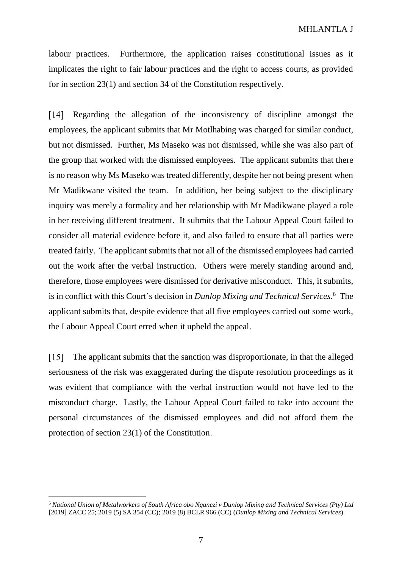labour practices. Furthermore, the application raises constitutional issues as it implicates the right to fair labour practices and the right to access courts, as provided for in section 23(1) and section 34 of the Constitution respectively.

 $[14]$ Regarding the allegation of the inconsistency of discipline amongst the employees, the applicant submits that Mr Motlhabing was charged for similar conduct, but not dismissed. Further, Ms Maseko was not dismissed, while she was also part of the group that worked with the dismissed employees. The applicant submits that there is no reason why Ms Maseko was treated differently, despite her not being present when Mr Madikwane visited the team. In addition, her being subject to the disciplinary inquiry was merely a formality and her relationship with Mr Madikwane played a role in her receiving different treatment. It submits that the Labour Appeal Court failed to consider all material evidence before it, and also failed to ensure that all parties were treated fairly. The applicant submits that not all of the dismissed employees had carried out the work after the verbal instruction. Others were merely standing around and, therefore, those employees were dismissed for derivative misconduct. This, it submits, is in conflict with this Court's decision in *Dunlop Mixing and Technical Services*. <sup>6</sup> The applicant submits that, despite evidence that all five employees carried out some work, the Labour Appeal Court erred when it upheld the appeal.

 $[15]$ The applicant submits that the sanction was disproportionate, in that the alleged seriousness of the risk was exaggerated during the dispute resolution proceedings as it was evident that compliance with the verbal instruction would not have led to the misconduct charge. Lastly, the Labour Appeal Court failed to take into account the personal circumstances of the dismissed employees and did not afford them the protection of section 23(1) of the Constitution.

 $\overline{a}$ 

<sup>6</sup> *National Union of Metalworkers of South Africa obo Nganezi v Dunlop Mixing and Technical Services (Pty) Ltd* [2019] ZACC 25; 2019 (5) SA 354 (CC); 2019 (8) BCLR 966 (CC) (*Dunlop Mixing and Technical Services*).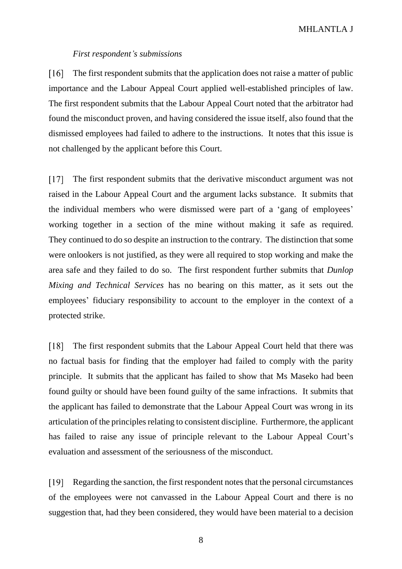### MHLANTLA J

#### *First respondent's submissions*

 $[16]$ The first respondent submits that the application does not raise a matter of public importance and the Labour Appeal Court applied well-established principles of law. The first respondent submits that the Labour Appeal Court noted that the arbitrator had found the misconduct proven, and having considered the issue itself, also found that the dismissed employees had failed to adhere to the instructions. It notes that this issue is not challenged by the applicant before this Court.

The first respondent submits that the derivative misconduct argument was not  $[17]$ raised in the Labour Appeal Court and the argument lacks substance. It submits that the individual members who were dismissed were part of a 'gang of employees' working together in a section of the mine without making it safe as required. They continued to do so despite an instruction to the contrary. The distinction that some were onlookers is not justified, as they were all required to stop working and make the area safe and they failed to do so. The first respondent further submits that *Dunlop Mixing and Technical Services* has no bearing on this matter, as it sets out the employees' fiduciary responsibility to account to the employer in the context of a protected strike.

The first respondent submits that the Labour Appeal Court held that there was  $[18]$ no factual basis for finding that the employer had failed to comply with the parity principle. It submits that the applicant has failed to show that Ms Maseko had been found guilty or should have been found guilty of the same infractions. It submits that the applicant has failed to demonstrate that the Labour Appeal Court was wrong in its articulation of the principles relating to consistent discipline. Furthermore, the applicant has failed to raise any issue of principle relevant to the Labour Appeal Court's evaluation and assessment of the seriousness of the misconduct.

Regarding the sanction, the first respondent notes that the personal circumstances  $[19]$ of the employees were not canvassed in the Labour Appeal Court and there is no suggestion that, had they been considered, they would have been material to a decision

8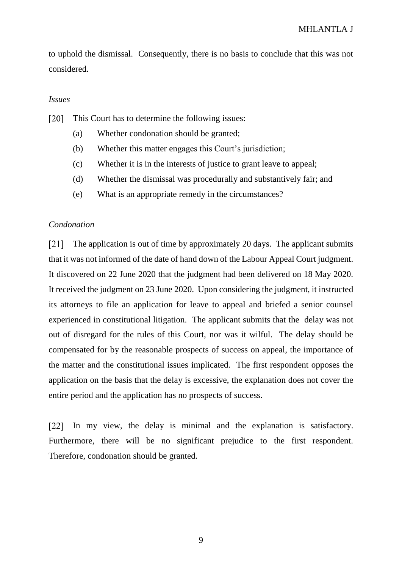to uphold the dismissal. Consequently, there is no basis to conclude that this was not considered.

### *Issues*

This Court has to determine the following issues:  $\lceil 20 \rceil$ 

- (a) Whether condonation should be granted;
- (b) Whether this matter engages this Court's jurisdiction;
- (c) Whether it is in the interests of justice to grant leave to appeal;
- (d) Whether the dismissal was procedurally and substantively fair; and
- (e) What is an appropriate remedy in the circumstances?

#### *Condonation*

 $\lceil 21 \rceil$ The application is out of time by approximately 20 days. The applicant submits that it was not informed of the date of hand down of the Labour Appeal Court judgment. It discovered on 22 June 2020 that the judgment had been delivered on 18 May 2020. It received the judgment on 23 June 2020. Upon considering the judgment, it instructed its attorneys to file an application for leave to appeal and briefed a senior counsel experienced in constitutional litigation. The applicant submits that the delay was not out of disregard for the rules of this Court, nor was it wilful. The delay should be compensated for by the reasonable prospects of success on appeal, the importance of the matter and the constitutional issues implicated. The first respondent opposes the application on the basis that the delay is excessive, the explanation does not cover the entire period and the application has no prospects of success.

In my view, the delay is minimal and the explanation is satisfactory. Furthermore, there will be no significant prejudice to the first respondent. Therefore, condonation should be granted.

9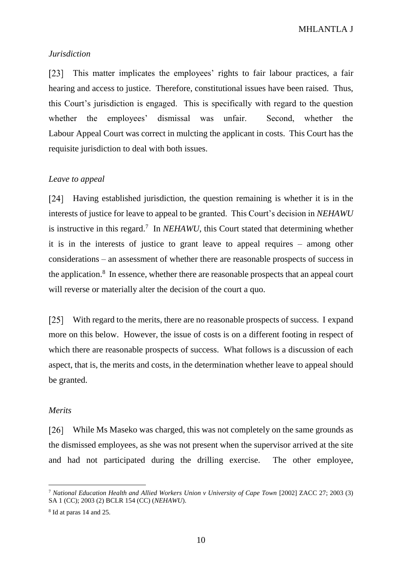### *Jurisdiction*

 $\lceil 23 \rceil$ This matter implicates the employees' rights to fair labour practices, a fair hearing and access to justice. Therefore, constitutional issues have been raised. Thus, this Court's jurisdiction is engaged. This is specifically with regard to the question whether the employees' dismissal was unfair. Second, whether the Labour Appeal Court was correct in mulcting the applicant in costs. This Court has the requisite jurisdiction to deal with both issues.

## *Leave to appeal*

[24] Having established jurisdiction, the question remaining is whether it is in the interests of justice for leave to appeal to be granted. This Court's decision in *NEHAWU* is instructive in this regard.<sup>7</sup> In *NEHAWU*, this Court stated that determining whether it is in the interests of justice to grant leave to appeal requires – among other considerations – an assessment of whether there are reasonable prospects of success in the application.<sup>8</sup> In essence, whether there are reasonable prospects that an appeal court will reverse or materially alter the decision of the court a quo.

[25] With regard to the merits, there are no reasonable prospects of success. I expand more on this below. However, the issue of costs is on a different footing in respect of which there are reasonable prospects of success. What follows is a discussion of each aspect, that is, the merits and costs, in the determination whether leave to appeal should be granted.

### *Merits*

 $\overline{a}$ 

[26] While Ms Maseko was charged, this was not completely on the same grounds as the dismissed employees, as she was not present when the supervisor arrived at the site and had not participated during the drilling exercise. The other employee,

<sup>7</sup> *National Education Health and Allied Workers Union v University of Cape Town* [2002] ZACC 27; 2003 (3) SA 1 (CC); 2003 (2) BCLR 154 (CC) (*NEHAWU*).

<sup>&</sup>lt;sup>8</sup> Id at paras 14 and 25.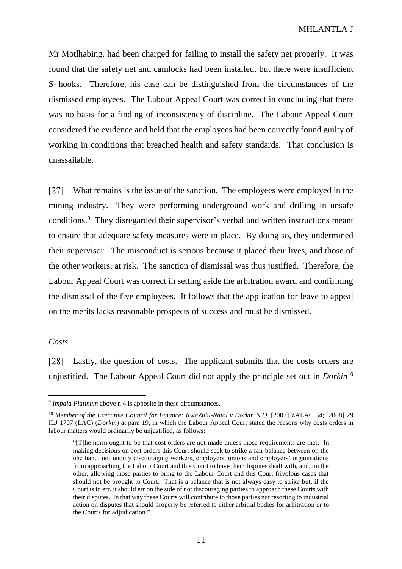Mr Motlhabing, had been charged for failing to install the safety net properly. It was found that the safety net and camlocks had been installed, but there were insufficient S- hooks. Therefore, his case can be distinguished from the circumstances of the dismissed employees. The Labour Appeal Court was correct in concluding that there was no basis for a finding of inconsistency of discipline. The Labour Appeal Court considered the evidence and held that the employees had been correctly found guilty of working in conditions that breached health and safety standards. That conclusion is unassailable.

 $\lceil 27 \rceil$ What remains is the issue of the sanction. The employees were employed in the mining industry. They were performing underground work and drilling in unsafe conditions.<sup>9</sup> They disregarded their supervisor's verbal and written instructions meant to ensure that adequate safety measures were in place. By doing so, they undermined their supervisor. The misconduct is serious because it placed their lives, and those of the other workers, at risk. The sanction of dismissal was thus justified. Therefore, the Labour Appeal Court was correct in setting aside the arbitration award and confirming the dismissal of the five employees. It follows that the application for leave to appeal on the merits lacks reasonable prospects of success and must be dismissed.

#### *Costs*

 $\overline{a}$ 

[28] Lastly, the question of costs. The applicant submits that the costs orders are unjustified. The Labour Appeal Court did not apply the principle set out in *Dorkin*<sup>10</sup>

<sup>9</sup> *Impala Platinum* above n 4 is apposite in these circumstances.

<sup>10</sup> *Member of the Executive Council for Finance: KwaZulu-Natal v Dorkin N.O.* [2007] ZALAC 34; [2008] 29 ILJ 1707 (LAC) (*Dorkin*) at para 19, in which the Labour Appeal Court stated the reasons why costs orders in labour matters would ordinarily be unjustified, as follows:

<sup>&</sup>quot;[T]he norm ought to be that cost orders are not made unless those requirements are met. In making decisions on cost orders this Court should seek to strike a fair balance between on the one hand, not unduly discouraging workers, employers, unions and employers' organisations from approaching the Labour Court and this Court to have their disputes dealt with, and, on the other, allowing those parties to bring to the Labour Court and this Court frivolous cases that should not be brought to Court. That is a balance that is not always easy to strike but, if the Court is to err, it should err on the side of not discouraging parties to approach these Courts with their disputes. In that way these Courts will contribute to those parties not resorting to industrial action on disputes that should properly be referred to either arbitral bodies for arbitration or to the Courts for adjudication."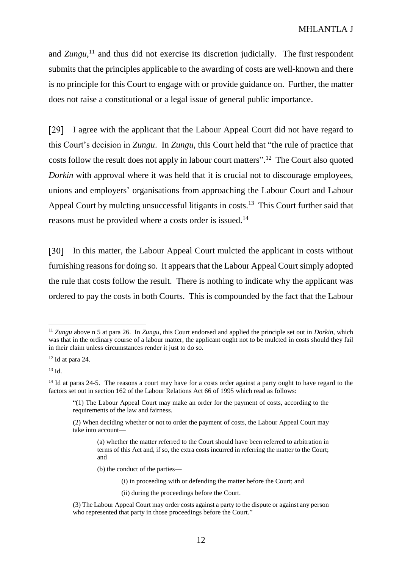and *Zungu*,<sup>11</sup> and thus did not exercise its discretion judicially. The first respondent submits that the principles applicable to the awarding of costs are well-known and there is no principle for this Court to engage with or provide guidance on. Further, the matter does not raise a constitutional or a legal issue of general public importance.

 $[29]$ I agree with the applicant that the Labour Appeal Court did not have regard to this Court's decision in *Zungu*. In *Zungu*, this Court held that "the rule of practice that costs follow the result does not apply in labour court matters".<sup>12</sup> The Court also quoted *Dorkin* with approval where it was held that it is crucial not to discourage employees, unions and employers' organisations from approaching the Labour Court and Labour Appeal Court by mulcting unsuccessful litigants in costs.<sup>13</sup> This Court further said that reasons must be provided where a costs order is issued.<sup>14</sup>

[30] In this matter, the Labour Appeal Court mulcted the applicant in costs without furnishing reasons for doing so. It appears that the Labour Appeal Court simply adopted the rule that costs follow the result. There is nothing to indicate why the applicant was ordered to pay the costs in both Courts. This is compounded by the fact that the Labour

 $\overline{a}$ 

(b) the conduct of the parties—

(i) in proceeding with or defending the matter before the Court; and

<sup>11</sup> *Zungu* above n 5 at para 26. In *Zungu*, this Court endorsed and applied the principle set out in *Dorkin*, which was that in the ordinary course of a labour matter, the applicant ought not to be mulcted in costs should they fail in their claim unless circumstances render it just to do so.

 $12$  Id at para 24.

 $13 \text{ Id}$ 

<sup>&</sup>lt;sup>14</sup> Id at paras 24-5. The reasons a court may have for a costs order against a party ought to have regard to the factors set out in section 162 of the Labour Relations Act 66 of 1995 which read as follows:

<sup>&</sup>quot;(1) The Labour Appeal Court may make an order for the payment of costs, according to the requirements of the law and fairness.

<sup>(2)</sup> When deciding whether or not to order the payment of costs, the Labour Appeal Court may take into account—

<sup>(</sup>a) whether the matter referred to the Court should have been referred to arbitration in terms of this Act and, if so, the extra costs incurred in referring the matter to the Court; and

<sup>(</sup>ii) during the proceedings before the Court.

<sup>(3)</sup> The Labour Appeal Court may order costs against a party to the dispute or against any person who represented that party in those proceedings before the Court."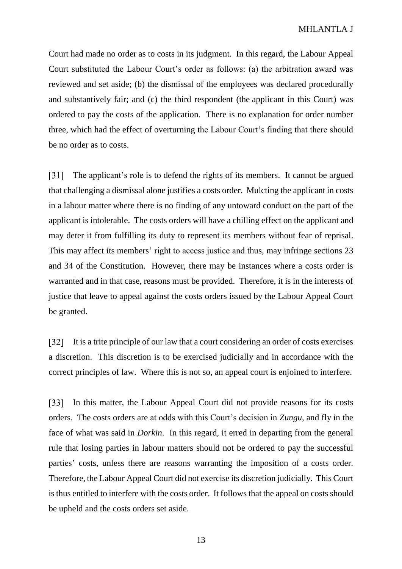Court had made no order as to costs in its judgment. In this regard, the Labour Appeal Court substituted the Labour Court's order as follows: (a) the arbitration award was reviewed and set aside; (b) the dismissal of the employees was declared procedurally and substantively fair; and (c) the third respondent (the applicant in this Court) was ordered to pay the costs of the application. There is no explanation for order number three, which had the effect of overturning the Labour Court's finding that there should be no order as to costs.

The applicant's role is to defend the rights of its members. It cannot be argued [31] that challenging a dismissal alone justifies a costs order. Mulcting the applicant in costs in a labour matter where there is no finding of any untoward conduct on the part of the applicant is intolerable. The costs orders will have a chilling effect on the applicant and may deter it from fulfilling its duty to represent its members without fear of reprisal. This may affect its members' right to access justice and thus, may infringe sections 23 and 34 of the Constitution. However, there may be instances where a costs order is warranted and in that case, reasons must be provided. Therefore, it is in the interests of justice that leave to appeal against the costs orders issued by the Labour Appeal Court be granted.

It is a trite principle of our law that a court considering an order of costs exercises  $\lceil 32 \rceil$ a discretion. This discretion is to be exercised judicially and in accordance with the correct principles of law. Where this is not so, an appeal court is enjoined to interfere.

[33] In this matter, the Labour Appeal Court did not provide reasons for its costs orders. The costs orders are at odds with this Court's decision in *Zungu*, and fly in the face of what was said in *Dorkin*. In this regard, it erred in departing from the general rule that losing parties in labour matters should not be ordered to pay the successful parties' costs, unless there are reasons warranting the imposition of a costs order. Therefore, the Labour Appeal Court did not exercise its discretion judicially. This Court is thus entitled to interfere with the costs order. It follows that the appeal on costs should be upheld and the costs orders set aside.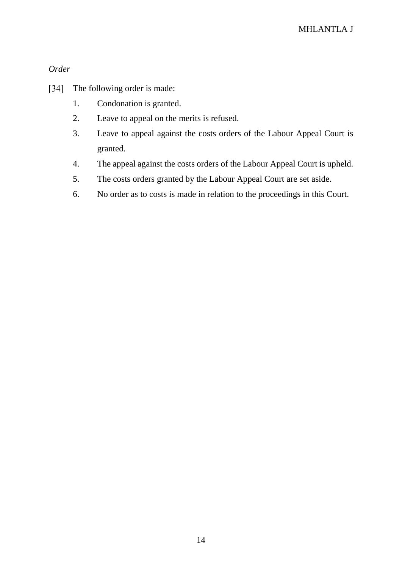*Order*

- $[34]$ The following order is made:
	- 1. Condonation is granted.
	- 2. Leave to appeal on the merits is refused.
	- 3. Leave to appeal against the costs orders of the Labour Appeal Court is granted.
	- 4. The appeal against the costs orders of the Labour Appeal Court is upheld.
	- 5. The costs orders granted by the Labour Appeal Court are set aside.
	- 6. No order as to costs is made in relation to the proceedings in this Court.